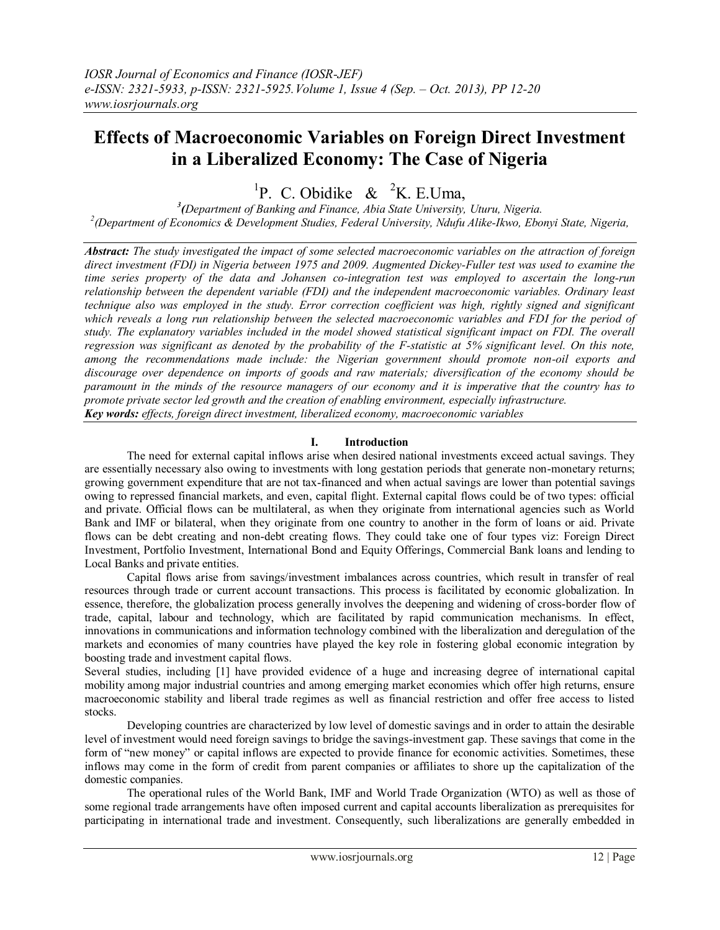# **Effects of Macroeconomic Variables on Foreign Direct Investment in a Liberalized Economy: The Case of Nigeria**

<sup>1</sup>P. C. Obidike & <sup>2</sup>K. E.Uma,

*3 (Department of Banking and Finance, Abia State University, Uturu, Nigeria. 2 (Department of Economics & Development Studies, Federal University, Ndufu Alike-Ikwo, Ebonyi State, Nigeria,*

*Abstract: The study investigated the impact of some selected macroeconomic variables on the attraction of foreign direct investment (FDI) in Nigeria between 1975 and 2009. Augmented Dickey-Fuller test was used to examine the time series property of the data and Johansen co-integration test was employed to ascertain the long-run relationship between the dependent variable (FDI) and the independent macroeconomic variables. Ordinary least technique also was employed in the study. Error correction coefficient was high, rightly signed and significant* which reveals a long run relationship between the selected macroeconomic variables and FDI for the period of *study. The explanatory variables included in the model showed statistical significant impact on FDI. The overall regression was significant as denoted by the probability of the F-statistic at 5% significant level. On this note, among the recommendations made include: the Nigerian government should promote non-oil exports and discourage over dependence on imports of goods and raw materials; diversification of the economy should be paramount in the minds of the resource managers of our economy and it is imperative that the country has to promote private sector led growth and the creation of enabling environment, especially infrastructure. Key words: effects, foreign direct investment, liberalized economy, macroeconomic variables* 

## **I. Introduction**

 The need for external capital inflows arise when desired national investments exceed actual savings. They are essentially necessary also owing to investments with long gestation periods that generate non-monetary returns; growing government expenditure that are not tax-financed and when actual savings are lower than potential savings owing to repressed financial markets, and even, capital flight. External capital flows could be of two types: official and private. Official flows can be multilateral, as when they originate from international agencies such as World Bank and IMF or bilateral, when they originate from one country to another in the form of loans or aid. Private flows can be debt creating and non-debt creating flows. They could take one of four types viz: Foreign Direct Investment, Portfolio Investment, International Bond and Equity Offerings, Commercial Bank loans and lending to Local Banks and private entities.

 Capital flows arise from savings/investment imbalances across countries, which result in transfer of real resources through trade or current account transactions. This process is facilitated by economic globalization. In essence, therefore, the globalization process generally involves the deepening and widening of cross-border flow of trade, capital, labour and technology, which are facilitated by rapid communication mechanisms. In effect, innovations in communications and information technology combined with the liberalization and deregulation of the markets and economies of many countries have played the key role in fostering global economic integration by boosting trade and investment capital flows.

Several studies, including [1] have provided evidence of a huge and increasing degree of international capital mobility among major industrial countries and among emerging market economies which offer high returns, ensure macroeconomic stability and liberal trade regimes as well as financial restriction and offer free access to listed stocks.

 Developing countries are characterized by low level of domestic savings and in order to attain the desirable level of investment would need foreign savings to bridge the savings-investment gap. These savings that come in the form of "new money" or capital inflows are expected to provide finance for economic activities. Sometimes, these inflows may come in the form of credit from parent companies or affiliates to shore up the capitalization of the domestic companies.

The operational rules of the World Bank, IMF and World Trade Organization (WTO) as well as those of some regional trade arrangements have often imposed current and capital accounts liberalization as prerequisites for participating in international trade and investment. Consequently, such liberalizations are generally embedded in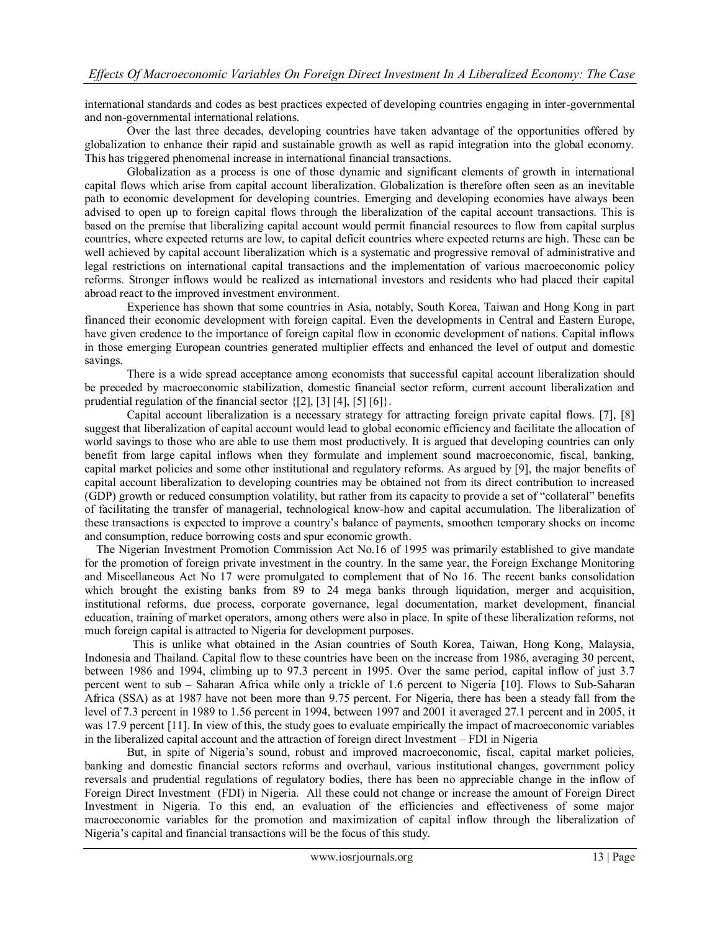international standards and codes as best practices expected of developing countries engaging in inter-governmental and non-governmental international relations.

 Over the last three decades, developing countries have taken advantage of the opportunities offered by globalization to enhance their rapid and sustainable growth as well as rapid integration into the global economy. This has triggered phenomenal increase in international financial transactions.

Globalization as a process is one of those dynamic and significant elements of growth in international capital flows which arise from capital account liberalization. Globalization is therefore often seen as an inevitable path to economic development for developing countries. Emerging and developing economies have always been advised to open up to foreign capital flows through the liberalization of the capital account transactions. This is based on the premise that liberalizing capital account would permit financial resources to flow from capital surplus countries, where expected returns are low, to capital deficit countries where expected returns are high. These can be well achieved by capital account liberalization which is a systematic and progressive removal of administrative and legal restrictions on international capital transactions and the implementation of various macroeconomic policy reforms. Stronger inflows would be realized as international investors and residents who had placed their capital abroad react to the improved investment environment.

 Experience has shown that some countries in Asia, notably, South Korea, Taiwan and Hong Kong in part financed their economic development with foreign capital. Even the developments in Central and Eastern Europe, have given credence to the importance of foreign capital flow in economic development of nations. Capital inflows in those emerging European countries generated multiplier effects and enhanced the level of output and domestic savings.

There is a wide spread acceptance among economists that successful capital account liberalization should be preceded by macroeconomic stabilization, domestic financial sector reform, current account liberalization and prudential regulation of the financial sector {[2], [3] [4], [5] [6]}.

 Capital account liberalization is a necessary strategy for attracting foreign private capital flows. [7], [8] suggest that liberalization of capital account would lead to global economic efficiency and facilitate the allocation of world savings to those who are able to use them most productively. It is argued that developing countries can only benefit from large capital inflows when they formulate and implement sound macroeconomic, fiscal, banking, capital market policies and some other institutional and regulatory reforms. As argued by [9], the major benefits of capital account liberalization to developing countries may be obtained not from its direct contribution to increased (GDP) growth or reduced consumption volatility, but rather from its capacity to provide a set of "collateral" benefits of facilitating the transfer of managerial, technological know-how and capital accumulation. The liberalization of these transactions is expected to improve a country's balance of payments, smoothen temporary shocks on income and consumption, reduce borrowing costs and spur economic growth.

 The Nigerian Investment Promotion Commission Act No.16 of 1995 was primarily established to give mandate for the promotion of foreign private investment in the country. In the same year, the Foreign Exchange Monitoring and Miscellaneous Act No 17 were promulgated to complement that of No 16. The recent banks consolidation which brought the existing banks from 89 to 24 mega banks through liquidation, merger and acquisition, institutional reforms, due process, corporate governance, legal documentation, market development, financial education, training of market operators, among others were also in place. In spite of these liberalization reforms, not much foreign capital is attracted to Nigeria for development purposes.

 This is unlike what obtained in the Asian countries of South Korea, Taiwan, Hong Kong, Malaysia, Indonesia and Thailand. Capital flow to these countries have been on the increase from 1986, averaging 30 percent, between 1986 and 1994, climbing up to 97.3 percent in 1995. Over the same period, capital inflow of just 3.7 percent went to sub – Saharan Africa while only a trickle of 1.6 percent to Nigeria [10]. Flows to Sub-Saharan Africa (SSA) as at 1987 have not been more than 9.75 percent. For Nigeria, there has been a steady fall from the level of 7.3 percent in 1989 to 1.56 percent in 1994, between 1997 and 2001 it averaged 27.1 percent and in 2005, it was 17.9 percent [11]. In view of this, the study goes to evaluate empirically the impact of macroeconomic variables in the liberalized capital account and the attraction of foreign direct Investment – FDI in Nigeria

 But, in spite of Nigeria's sound, robust and improved macroeconomic, fiscal, capital market policies, banking and domestic financial sectors reforms and overhaul, various institutional changes, government policy reversals and prudential regulations of regulatory bodies, there has been no appreciable change in the inflow of Foreign Direct Investment (FDI) in Nigeria. All these could not change or increase the amount of Foreign Direct Investment in Nigeria. To this end, an evaluation of the efficiencies and effectiveness of some major macroeconomic variables for the promotion and maximization of capital inflow through the liberalization of Nigeria's capital and financial transactions will be the focus of this study.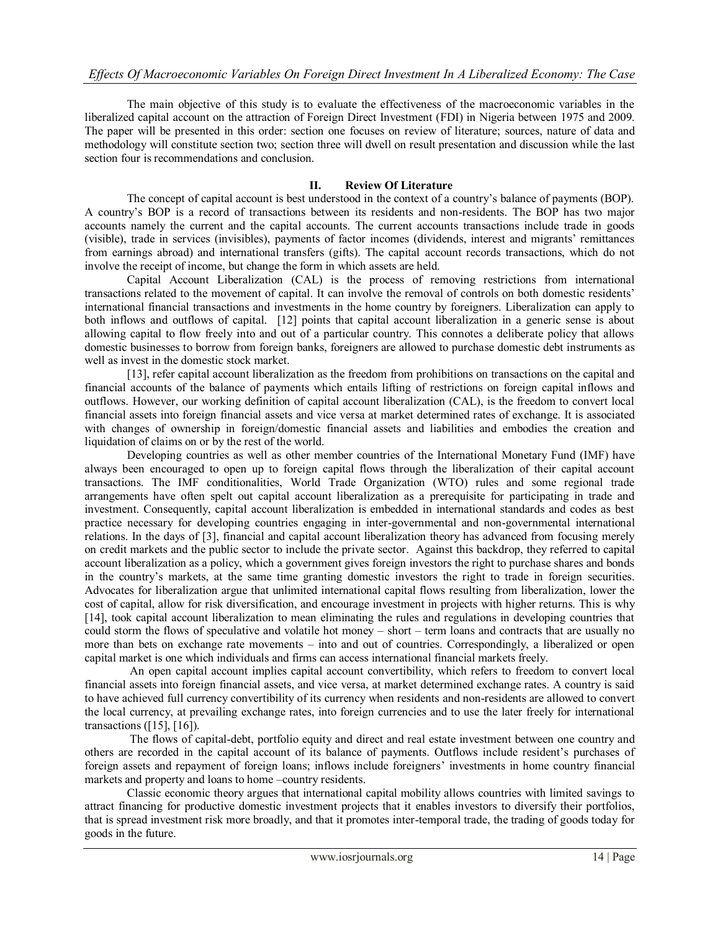The main objective of this study is to evaluate the effectiveness of the macroeconomic variables in the liberalized capital account on the attraction of Foreign Direct Investment (FDI) in Nigeria between 1975 and 2009. The paper will be presented in this order: section one focuses on review of literature; sources, nature of data and methodology will constitute section two; section three will dwell on result presentation and discussion while the last section four is recommendations and conclusion.

#### **II. Review Of Literature**

The concept of capital account is best understood in the context of a country's balance of payments (BOP). A country's BOP is a record of transactions between its residents and non-residents. The BOP has two major accounts namely the current and the capital accounts. The current accounts transactions include trade in goods (visible), trade in services (invisibles), payments of factor incomes (dividends, interest and migrants' remittances from earnings abroad) and international transfers (gifts). The capital account records transactions, which do not involve the receipt of income, but change the form in which assets are held.

 Capital Account Liberalization (CAL) is the process of removing restrictions from international transactions related to the movement of capital. It can involve the removal of controls on both domestic residents' international financial transactions and investments in the home country by foreigners. Liberalization can apply to both inflows and outflows of capital. [12] points that capital account liberalization in a generic sense is about allowing capital to flow freely into and out of a particular country. This connotes a deliberate policy that allows domestic businesses to borrow from foreign banks, foreigners are allowed to purchase domestic debt instruments as well as invest in the domestic stock market.

[13], refer capital account liberalization as the freedom from prohibitions on transactions on the capital and financial accounts of the balance of payments which entails lifting of restrictions on foreign capital inflows and outflows. However, our working definition of capital account liberalization (CAL), is the freedom to convert local financial assets into foreign financial assets and vice versa at market determined rates of exchange. It is associated with changes of ownership in foreign/domestic financial assets and liabilities and embodies the creation and liquidation of claims on or by the rest of the world.

 Developing countries as well as other member countries of the International Monetary Fund (IMF) have always been encouraged to open up to foreign capital flows through the liberalization of their capital account transactions. The IMF conditionalities, World Trade Organization (WTO) rules and some regional trade arrangements have often spelt out capital account liberalization as a prerequisite for participating in trade and investment. Consequently, capital account liberalization is embedded in international standards and codes as best practice necessary for developing countries engaging in inter-governmental and non-governmental international relations. In the days of [3], financial and capital account liberalization theory has advanced from focusing merely on credit markets and the public sector to include the private sector. Against this backdrop, they referred to capital account liberalization as a policy, which a government gives foreign investors the right to purchase shares and bonds in the country's markets, at the same time granting domestic investors the right to trade in foreign securities. Advocates for liberalization argue that unlimited international capital flows resulting from liberalization, lower the cost of capital, allow for risk diversification, and encourage investment in projects with higher returns. This is why [14], took capital account liberalization to mean eliminating the rules and regulations in developing countries that could storm the flows of speculative and volatile hot money – short – term loans and contracts that are usually no more than bets on exchange rate movements – into and out of countries. Correspondingly, a liberalized or open capital market is one which individuals and firms can access international financial markets freely.

 An open capital account implies capital account convertibility, which refers to freedom to convert local financial assets into foreign financial assets, and vice versa, at market determined exchange rates. A country is said to have achieved full currency convertibility of its currency when residents and non-residents are allowed to convert the local currency, at prevailing exchange rates, into foreign currencies and to use the later freely for international transactions ([15], [16]).

 The flows of capital-debt, portfolio equity and direct and real estate investment between one country and others are recorded in the capital account of its balance of payments. Outflows include resident's purchases of foreign assets and repayment of foreign loans; inflows include foreigners' investments in home country financial markets and property and loans to home –country residents.

 Classic economic theory argues that international capital mobility allows countries with limited savings to attract financing for productive domestic investment projects that it enables investors to diversify their portfolios, that is spread investment risk more broadly, and that it promotes inter-temporal trade, the trading of goods today for goods in the future.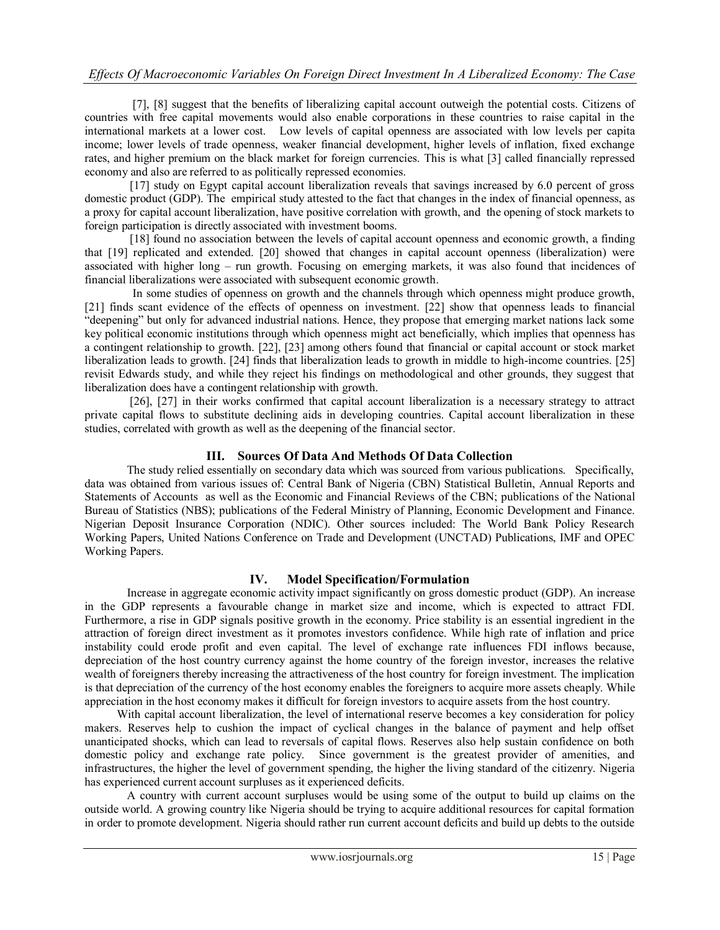[7], [8] suggest that the benefits of liberalizing capital account outweigh the potential costs. Citizens of countries with free capital movements would also enable corporations in these countries to raise capital in the international markets at a lower cost. Low levels of capital openness are associated with low levels per capita income; lower levels of trade openness, weaker financial development, higher levels of inflation, fixed exchange rates, and higher premium on the black market for foreign currencies. This is what [3] called financially repressed economy and also are referred to as politically repressed economies.

 [17] study on Egypt capital account liberalization reveals that savings increased by 6.0 percent of gross domestic product (GDP). The empirical study attested to the fact that changes in the index of financial openness, as a proxy for capital account liberalization, have positive correlation with growth, and the opening of stock markets to foreign participation is directly associated with investment booms.

 [18] found no association between the levels of capital account openness and economic growth, a finding that [19] replicated and extended. [20] showed that changes in capital account openness (liberalization) were associated with higher long – run growth. Focusing on emerging markets, it was also found that incidences of financial liberalizations were associated with subsequent economic growth.

 In some studies of openness on growth and the channels through which openness might produce growth, [21] finds scant evidence of the effects of openness on investment. [22] show that openness leads to financial "deepening" but only for advanced industrial nations. Hence, they propose that emerging market nations lack some key political economic institutions through which openness might act beneficially, which implies that openness has a contingent relationship to growth. [22], [23] among others found that financial or capital account or stock market liberalization leads to growth. [24] finds that liberalization leads to growth in middle to high-income countries. [25] revisit Edwards study, and while they reject his findings on methodological and other grounds, they suggest that liberalization does have a contingent relationship with growth.

[26], [27] in their works confirmed that capital account liberalization is a necessary strategy to attract private capital flows to substitute declining aids in developing countries. Capital account liberalization in these studies, correlated with growth as well as the deepening of the financial sector.

#### **III. Sources Of Data And Methods Of Data Collection**

The study relied essentially on secondary data which was sourced from various publications. Specifically, data was obtained from various issues of: Central Bank of Nigeria (CBN) Statistical Bulletin, Annual Reports and Statements of Accounts as well as the Economic and Financial Reviews of the CBN; publications of the National Bureau of Statistics (NBS); publications of the Federal Ministry of Planning, Economic Development and Finance. Nigerian Deposit Insurance Corporation (NDIC). Other sources included: The World Bank Policy Research Working Papers, United Nations Conference on Trade and Development (UNCTAD) Publications, IMF and OPEC Working Papers.

#### **IV. Model Specification/Formulation**

 Increase in aggregate economic activity impact significantly on gross domestic product (GDP). An increase in the GDP represents a favourable change in market size and income, which is expected to attract FDI. Furthermore, a rise in GDP signals positive growth in the economy. Price stability is an essential ingredient in the attraction of foreign direct investment as it promotes investors confidence. While high rate of inflation and price instability could erode profit and even capital. The level of exchange rate influences FDI inflows because, depreciation of the host country currency against the home country of the foreign investor, increases the relative wealth of foreigners thereby increasing the attractiveness of the host country for foreign investment. The implication is that depreciation of the currency of the host economy enables the foreigners to acquire more assets cheaply. While appreciation in the host economy makes it difficult for foreign investors to acquire assets from the host country.

 With capital account liberalization, the level of international reserve becomes a key consideration for policy makers. Reserves help to cushion the impact of cyclical changes in the balance of payment and help offset unanticipated shocks, which can lead to reversals of capital flows. Reserves also help sustain confidence on both domestic policy and exchange rate policy. Since government is the greatest provider of amenities, and infrastructures, the higher the level of government spending, the higher the living standard of the citizenry. Nigeria has experienced current account surpluses as it experienced deficits.

 A country with current account surpluses would be using some of the output to build up claims on the outside world. A growing country like Nigeria should be trying to acquire additional resources for capital formation in order to promote development. Nigeria should rather run current account deficits and build up debts to the outside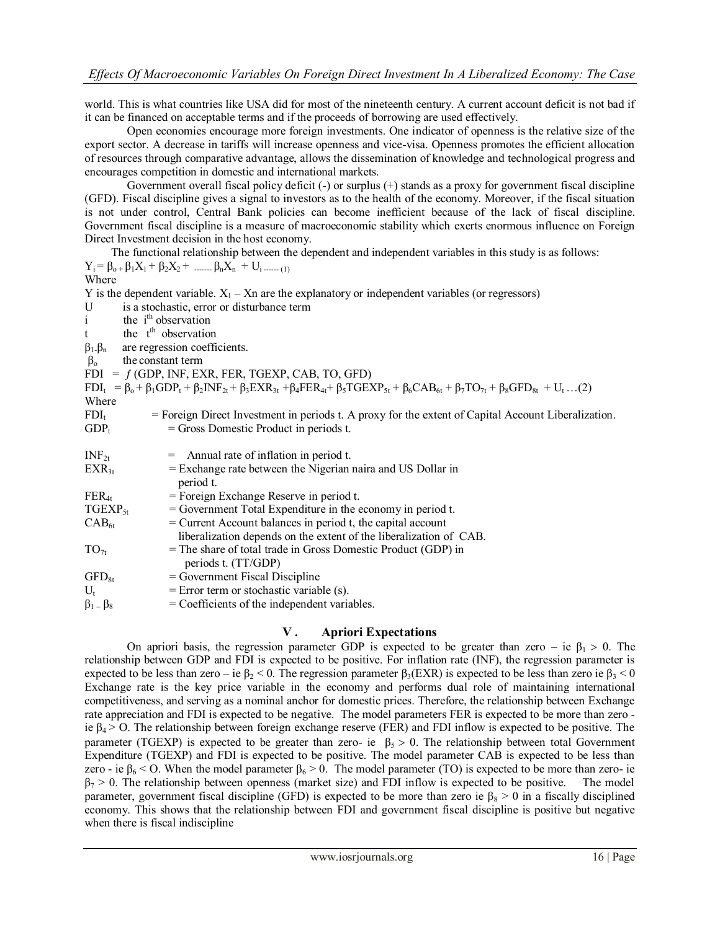world. This is what countries like USA did for most of the nineteenth century. A current account deficit is not bad if it can be financed on acceptable terms and if the proceeds of borrowing are used effectively.

 Open economies encourage more foreign investments. One indicator of openness is the relative size of the export sector. A decrease in tariffs will increase openness and vice-visa. Openness promotes the efficient allocation of resources through comparative advantage, allows the dissemination of knowledge and technological progress and encourages competition in domestic and international markets.

 Government overall fiscal policy deficit (-) or surplus (+) stands as a proxy for government fiscal discipline (GFD). Fiscal discipline gives a signal to investors as to the health of the economy. Moreover, if the fiscal situation is not under control, Central Bank policies can become inefficient because of the lack of fiscal discipline. Government fiscal discipline is a measure of macroeconomic stability which exerts enormous influence on Foreign Direct Investment decision in the host economy.

The functional relationship between the dependent and independent variables in this study is as follows:<br> $B_0 + B_1X_1 + B_2X_2 + B_3X_3 + U_3$  $Y_i = \beta_{0+1} \beta_1 X_1 + \beta_2 X_2 + \cdots + \beta_n X_n + U_i$  (1)

|                                  | $-1$ $P_0 + P_1 \rightarrow 1$ $P_2 \rightarrow 2$ $\rightarrow$ $P_1 \rightarrow P_1$ $P_2 \rightarrow P_1$ $P_3 \rightarrow P_2$                                                |
|----------------------------------|-----------------------------------------------------------------------------------------------------------------------------------------------------------------------------------|
| Where                            |                                                                                                                                                                                   |
|                                  | Y is the dependent variable. $X_1$ – Xn are the explanatory or independent variables (or regressors)                                                                              |
| U                                | is a stochastic, error or disturbance term                                                                                                                                        |
| $\mathbf{i}$                     | the i <sup>th</sup> observation                                                                                                                                                   |
| t                                | the t <sup>th</sup> observation                                                                                                                                                   |
| $\beta_1.\beta_n$                | are regression coefficients.                                                                                                                                                      |
| the constant term<br>$\beta_{o}$ |                                                                                                                                                                                   |
|                                  | $FDI = f(GDP, INF, EXR, FER, TGEXP, CAB, TO, GFD)$                                                                                                                                |
|                                  | $FDI_t = \beta_0 + \beta_1 GDP_t + \beta_2 INF_{2t} + \beta_3 EXP_{3t} + \beta_4 FER_{4t} + \beta_5 TGEXP_{5t} + \beta_6 CAB_{6t} + \beta_7 TO_{7t} + \beta_8 GFD_{8t} + U_t$ (2) |
| Where                            |                                                                                                                                                                                   |
| $FDI_t$                          | = Foreign Direct Investment in periods t. A proxy for the extent of Capital Account Liberalization.                                                                               |
| $GDP_t$                          | $=$ Gross Domestic Product in periods t.                                                                                                                                          |
|                                  |                                                                                                                                                                                   |
| $INF_{2t}$                       | $=$ Annual rate of inflation in period t.                                                                                                                                         |
| $EXR_{3t}$                       | $=$ Exchange rate between the Nigerian naira and US Dollar in                                                                                                                     |
|                                  | period t.                                                                                                                                                                         |
| $FER_{4t}$                       | $=$ Foreign Exchange Reserve in period t.                                                                                                                                         |
| $TGEXP_{5t}$                     | $=$ Government Total Expenditure in the economy in period t.                                                                                                                      |
| $CAB_{6t}$                       | $=$ Current Account balances in period t, the capital account                                                                                                                     |
|                                  | liberalization depends on the extent of the liberalization of CAB.                                                                                                                |
| $TO_{7t}$                        | = The share of total trade in Gross Domestic Product (GDP) in                                                                                                                     |
|                                  | periods t. (TT/GDP)                                                                                                                                                               |
| $GFD_{8t}$                       | = Government Fiscal Discipline                                                                                                                                                    |
| $U_t$                            | $=$ Error term or stochastic variable (s).                                                                                                                                        |
| $\beta_1 - \beta_8$              | $=$ Coefficients of the independent variables.                                                                                                                                    |
|                                  |                                                                                                                                                                                   |

# **V . Apriori Expectations**

On apriori basis, the regression parameter GDP is expected to be greater than zero – ie  $\beta_1 > 0$ . The relationship between GDP and FDI is expected to be positive. For inflation rate (INF), the regression parameter is expected to be less than zero – ie  $\beta_2 < 0$ . The regression parameter  $\beta_3$ (EXR) is expected to be less than zero ie  $\beta_3 < 0$ Exchange rate is the key price variable in the economy and performs dual role of maintaining international competitiveness, and serving as a nominal anchor for domestic prices. Therefore, the relationship between Exchange rate appreciation and FDI is expected to be negative. The model parameters FER is expected to be more than zero ie  $\beta_4 > 0$ . The relationship between foreign exchange reserve (FER) and FDI inflow is expected to be positive. The parameter (TGEXP) is expected to be greater than zero- ie  $\beta_5 > 0$ . The relationship between total Government Expenditure (TGEXP) and FDI is expected to be positive. The model parameter CAB is expected to be less than zero - ie  $\beta_6$  < O. When the model parameter  $\beta_6$  > 0. The model parameter (TO) is expected to be more than zero- ie  $\beta_7$  > 0. The relationship between openness (market size) and FDI inflow is expected to be positiv  $\beta_7 > 0$ . The relationship between openness (market size) and FDI inflow is expected to be positive. parameter, government fiscal discipline (GFD) is expected to be more than zero ie  $\beta_8 > 0$  in a fiscally disciplined economy. This shows that the relationship between FDI and government fiscal discipline is positive but negative when there is fiscal indiscipline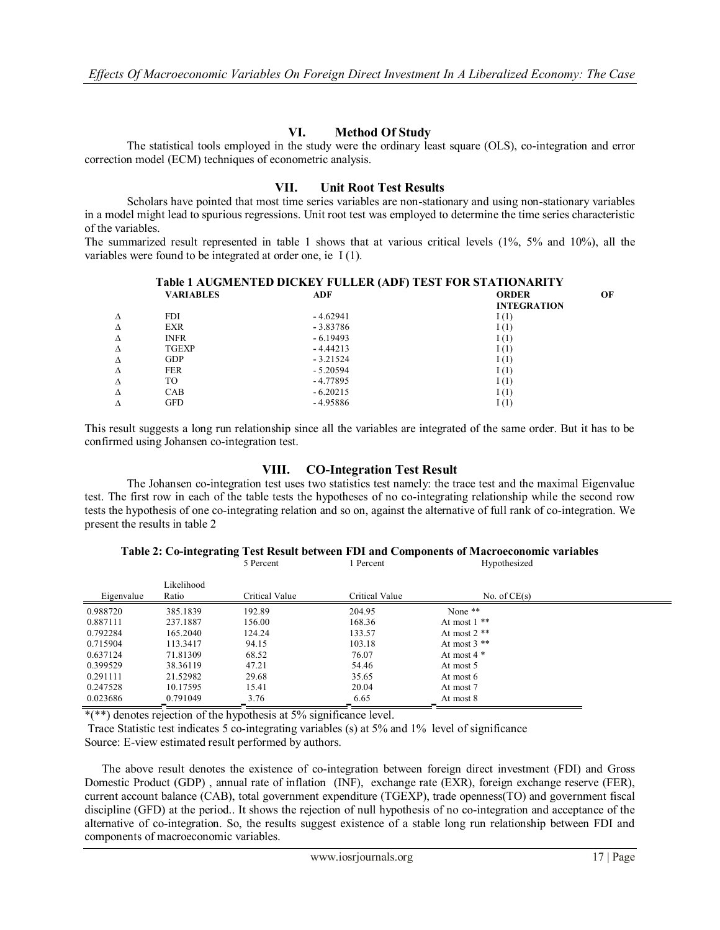## **VI. Method Of Study**

 The statistical tools employed in the study were the ordinary least square (OLS), co-integration and error correction model (ECM) techniques of econometric analysis.

#### **VII. Unit Root Test Results**

 Scholars have pointed that most time series variables are non-stationary and using non-stationary variables in a model might lead to spurious regressions. Unit root test was employed to determine the time series characteristic of the variables.

The summarized result represented in table 1 shows that at various critical levels (1%, 5% and 10%), all the variables were found to be integrated at order one, ie I (1).

| <b>Table 1 AUGMENTED DICKEY FULLER (ADF) TEST FOR STATIONARITY</b> |            |                    |    |  |  |  |
|--------------------------------------------------------------------|------------|--------------------|----|--|--|--|
| <b>VARIABLES</b>                                                   | ADF        | <b>ORDER</b>       | OЕ |  |  |  |
|                                                                    |            | <b>INTEGRATION</b> |    |  |  |  |
| <b>FDI</b>                                                         | $-4.62941$ | I(1)               |    |  |  |  |
| <b>EXR</b>                                                         | $-3.83786$ | I(1)               |    |  |  |  |
| <b>INFR</b>                                                        | $-6.19493$ | I(1)               |    |  |  |  |
| <b>TGEXP</b>                                                       | $-4.44213$ | I(1)               |    |  |  |  |
| <b>GDP</b>                                                         | $-3.21524$ | I(1)               |    |  |  |  |
| <b>FER</b>                                                         | $-5.20594$ | I(1)               |    |  |  |  |
| TO                                                                 | $-4.77895$ | I(1)               |    |  |  |  |
| CAB                                                                | $-6.20215$ | I(1)               |    |  |  |  |
| GFD                                                                | $-4.95886$ | I(1)               |    |  |  |  |
|                                                                    |            |                    |    |  |  |  |

This result suggests a long run relationship since all the variables are integrated of the same order. But it has to be confirmed using Johansen co-integration test.

#### **VIII. CO-Integration Test Result**

The Johansen co-integration test uses two statistics test namely: the trace test and the maximal Eigenvalue test. The first row in each of the table tests the hypotheses of no co-integrating relationship while the second row tests the hypothesis of one co-integrating relation and so on, against the alternative of full rank of co-integration. We present the results in table 2

# **Table 2: Co-integrating Test Result between FDI and Components of Macroeconomic variables**

|            |                     | 5 Percent      | Percent        | Hypothesized   |  |
|------------|---------------------|----------------|----------------|----------------|--|
| Eigenvalue | Likelihood<br>Ratio | Critical Value | Critical Value | No. of $CE(s)$ |  |
| 0.988720   | 385.1839            | 192.89         | 204.95         | None **        |  |
| 0.887111   | 237.1887            | 156.00         | 168.36         | At most $1$ ** |  |
| 0.792284   | 165.2040            | 124.24         | 133.57         | At most $2$ ** |  |
| 0.715904   | 113.3417            | 94.15          | 103.18         | At most $3$ ** |  |
| 0.637124   | 71.81309            | 68.52          | 76.07          | At most $4 *$  |  |
| 0.399529   | 38.36119            | 47.21          | 54.46          | At most 5      |  |
| 0.291111   | 21.52982            | 29.68          | 35.65          | At most 6      |  |
| 0.247528   | 10.17595            | 15.41          | 20.04          | At most 7      |  |
| 0.023686   | 0.791049            | 3.76           | 6.65           | At most 8      |  |

\*(\*\*) denotes rejection of the hypothesis at 5% significance level.

Trace Statistic test indicates 5 co-integrating variables (s) at 5% and 1% level of significance Source: E-view estimated result performed by authors.

 The above result denotes the existence of co-integration between foreign direct investment (FDI) and Gross Domestic Product (GDP) , annual rate of inflation (INF), exchange rate (EXR), foreign exchange reserve (FER), current account balance (CAB), total government expenditure (TGEXP), trade openness(TO) and government fiscal discipline (GFD) at the period.. It shows the rejection of null hypothesis of no co-integration and acceptance of the alternative of co-integration. So, the results suggest existence of a stable long run relationship between FDI and components of macroeconomic variables.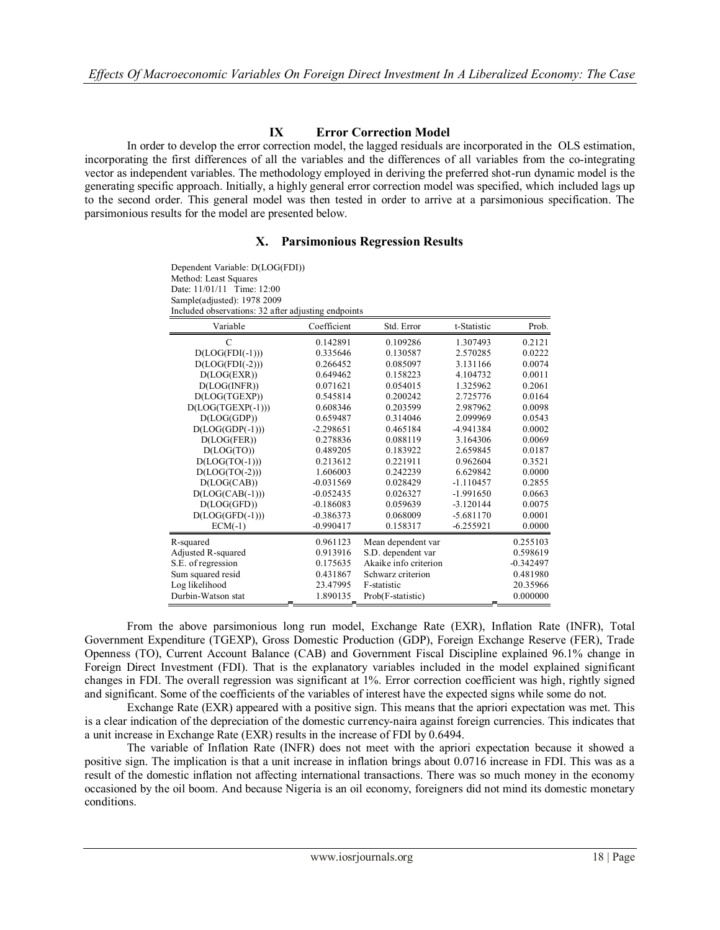# **IX Error Correction Model**

In order to develop the error correction model, the lagged residuals are incorporated in the OLS estimation, incorporating the first differences of all the variables and the differences of all variables from the co-integrating vector as independent variables. The methodology employed in deriving the preferred shot-run dynamic model is the generating specific approach. Initially, a highly general error correction model was specified, which included lags up to the second order. This general model was then tested in order to arrive at a parsimonious specification. The parsimonious results for the model are presented below.

#### **X. Parsimonious Regression Results**

| Dependent Variable: D(LOG(FDI))<br>Method: Least Squares<br>Date: 11/01/11 Time: 12:00<br>Sample(adjusted): 1978 2009<br>Included observations: 32 after adjusting endpoints |             |                       |             |             |
|------------------------------------------------------------------------------------------------------------------------------------------------------------------------------|-------------|-----------------------|-------------|-------------|
| Variable                                                                                                                                                                     | Coefficient | Std. Error            | t-Statistic | Prob.       |
| C                                                                                                                                                                            | 0.142891    | 0.109286              | 1.307493    | 0.2121      |
| $D(LOG(FDI(-1)))$                                                                                                                                                            | 0.335646    | 0.130587              | 2.570285    | 0.0222      |
| $D(LOG(FDI(-2)))$                                                                                                                                                            | 0.266452    | 0.085097              | 3.131166    | 0.0074      |
| D(LOG(EXR))                                                                                                                                                                  | 0.649462    | 0.158223              | 4.104732    | 0.0011      |
| D(LOG(NFR))                                                                                                                                                                  | 0.071621    | 0.054015              | 1.325962    | 0.2061      |
| D(LOG(TGEXP))                                                                                                                                                                | 0.545814    | 0.200242              | 2.725776    | 0.0164      |
| $D(LOG(TGEXP(-1)))$                                                                                                                                                          | 0.608346    | 0.203599              | 2.987962    | 0.0098      |
| D(LOG(GDP))                                                                                                                                                                  | 0.659487    | 0.314046              | 2.099969    | 0.0543      |
| $D(LOG(GDP(-1)))$                                                                                                                                                            | $-2.298651$ | 0.465184              | -4.941384   | 0.0002      |
| D(LOG(FER))                                                                                                                                                                  | 0.278836    | 0.088119              | 3.164306    | 0.0069      |
| D(LOG(TO))                                                                                                                                                                   | 0.489205    | 0.183922              | 2.659845    | 0.0187      |
| $D(LOG(TO(-1)))$                                                                                                                                                             | 0.213612    | 0.221911              | 0.962604    | 0.3521      |
| $D(LOG(TO(-2)))$                                                                                                                                                             | 1.606003    | 0.242239              | 6.629842    | 0.0000      |
| D(LOG(CAB))                                                                                                                                                                  | $-0.031569$ | 0.028429              | $-1.110457$ | 0.2855      |
| $D(LOG(CAB(-1)))$                                                                                                                                                            | $-0.052435$ | 0.026327              | $-1.991650$ | 0.0663      |
| D(LOG(GFD))                                                                                                                                                                  | $-0.186083$ | 0.059639              | $-3.120144$ | 0.0075      |
| $D(LOG(GFD(-1)))$                                                                                                                                                            | $-0.386373$ | 0.068009              | $-5.681170$ | 0.0001      |
| $ECM(-1)$                                                                                                                                                                    | $-0.990417$ | 0.158317              | $-6.255921$ | 0.0000      |
| R-squared                                                                                                                                                                    | 0.961123    | Mean dependent var    |             | 0.255103    |
| Adjusted R-squared                                                                                                                                                           | 0.913916    | S.D. dependent var    |             | 0.598619    |
| S.E. of regression                                                                                                                                                           | 0.175635    | Akaike info criterion |             | $-0.342497$ |
| Sum squared resid                                                                                                                                                            | 0.431867    | Schwarz criterion     |             | 0.481980    |
| Log likelihood                                                                                                                                                               | 23.47995    | F-statistic           |             | 20.35966    |
| Durbin-Watson stat                                                                                                                                                           | 1.890135    | Prob(F-statistic)     |             | 0.000000    |

From the above parsimonious long run model, Exchange Rate (EXR), Inflation Rate (INFR), Total Government Expenditure (TGEXP), Gross Domestic Production (GDP), Foreign Exchange Reserve (FER), Trade Openness (TO), Current Account Balance (CAB) and Government Fiscal Discipline explained 96.1% change in Foreign Direct Investment (FDI). That is the explanatory variables included in the model explained significant changes in FDI. The overall regression was significant at 1%. Error correction coefficient was high, rightly signed and significant. Some of the coefficients of the variables of interest have the expected signs while some do not.

Exchange Rate (EXR) appeared with a positive sign. This means that the apriori expectation was met. This is a clear indication of the depreciation of the domestic currency-naira against foreign currencies. This indicates that a unit increase in Exchange Rate (EXR) results in the increase of FDI by 0.6494.

The variable of Inflation Rate (INFR) does not meet with the apriori expectation because it showed a positive sign. The implication is that a unit increase in inflation brings about 0.0716 increase in FDI. This was as a result of the domestic inflation not affecting international transactions. There was so much money in the economy occasioned by the oil boom. And because Nigeria is an oil economy, foreigners did not mind its domestic monetary conditions.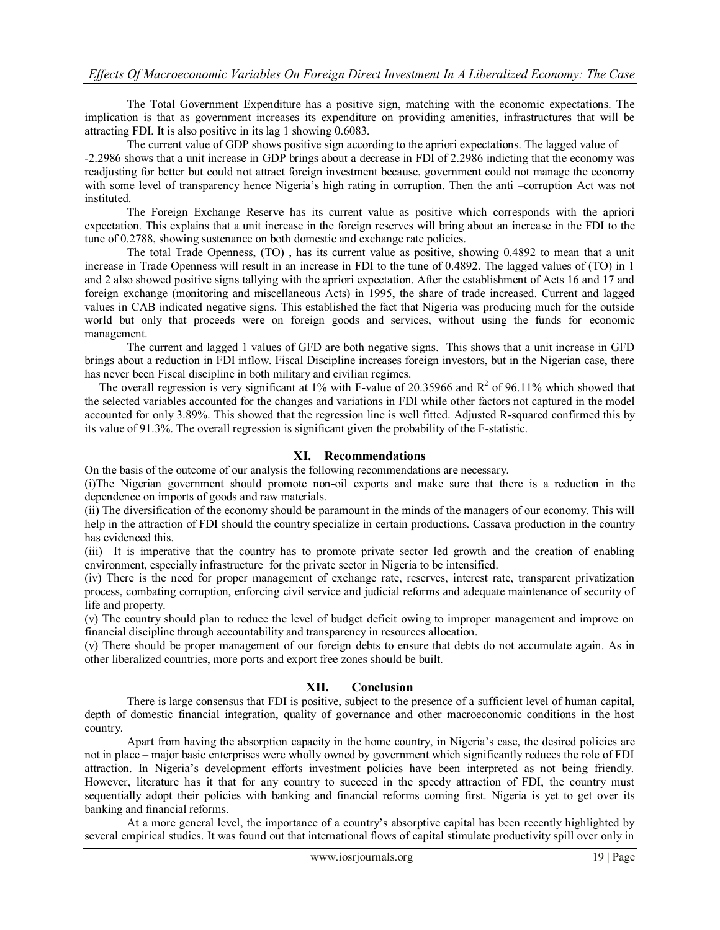The Total Government Expenditure has a positive sign, matching with the economic expectations. The implication is that as government increases its expenditure on providing amenities, infrastructures that will be attracting FDI. It is also positive in its lag 1 showing 0.6083.

The current value of GDP shows positive sign according to the apriori expectations. The lagged value of -2.2986 shows that a unit increase in GDP brings about a decrease in FDI of 2.2986 indicting that the economy was readjusting for better but could not attract foreign investment because, government could not manage the economy with some level of transparency hence Nigeria's high rating in corruption. Then the anti –corruption Act was not instituted.

The Foreign Exchange Reserve has its current value as positive which corresponds with the apriori expectation. This explains that a unit increase in the foreign reserves will bring about an increase in the FDI to the tune of 0.2788, showing sustenance on both domestic and exchange rate policies.

The total Trade Openness, (TO) , has its current value as positive, showing 0.4892 to mean that a unit increase in Trade Openness will result in an increase in FDI to the tune of 0.4892. The lagged values of (TO) in 1 and 2 also showed positive signs tallying with the apriori expectation. After the establishment of Acts 16 and 17 and foreign exchange (monitoring and miscellaneous Acts) in 1995, the share of trade increased. Current and lagged values in CAB indicated negative signs. This established the fact that Nigeria was producing much for the outside world but only that proceeds were on foreign goods and services, without using the funds for economic management.

The current and lagged 1 values of GFD are both negative signs. This shows that a unit increase in GFD brings about a reduction in FDI inflow. Fiscal Discipline increases foreign investors, but in the Nigerian case, there has never been Fiscal discipline in both military and civilian regimes.

The overall regression is very significant at 1% with F-value of 20.35966 and  $R^2$  of 96.11% which showed that the selected variables accounted for the changes and variations in FDI while other factors not captured in the model accounted for only 3.89%. This showed that the regression line is well fitted. Adjusted R-squared confirmed this by its value of 91.3%. The overall regression is significant given the probability of the F-statistic.

#### **XI. Recommendations**

On the basis of the outcome of our analysis the following recommendations are necessary.

(i)The Nigerian government should promote non-oil exports and make sure that there is a reduction in the dependence on imports of goods and raw materials.

(ii) The diversification of the economy should be paramount in the minds of the managers of our economy. This will help in the attraction of FDI should the country specialize in certain productions. Cassava production in the country has evidenced this.

(iii) It is imperative that the country has to promote private sector led growth and the creation of enabling environment, especially infrastructure for the private sector in Nigeria to be intensified.

(iv) There is the need for proper management of exchange rate, reserves, interest rate, transparent privatization process, combating corruption, enforcing civil service and judicial reforms and adequate maintenance of security of life and property.

(v) The country should plan to reduce the level of budget deficit owing to improper management and improve on financial discipline through accountability and transparency in resources allocation.

(v) There should be proper management of our foreign debts to ensure that debts do not accumulate again. As in other liberalized countries, more ports and export free zones should be built.

#### **XII. Conclusion**

 There is large consensus that FDI is positive, subject to the presence of a sufficient level of human capital, depth of domestic financial integration, quality of governance and other macroeconomic conditions in the host country.

Apart from having the absorption capacity in the home country, in Nigeria's case, the desired policies are not in place – major basic enterprises were wholly owned by government which significantly reduces the role of FDI attraction. In Nigeria's development efforts investment policies have been interpreted as not being friendly. However, literature has it that for any country to succeed in the speedy attraction of FDI, the country must sequentially adopt their policies with banking and financial reforms coming first. Nigeria is yet to get over its banking and financial reforms.

 At a more general level, the importance of a country's absorptive capital has been recently highlighted by several empirical studies. It was found out that international flows of capital stimulate productivity spill over only in